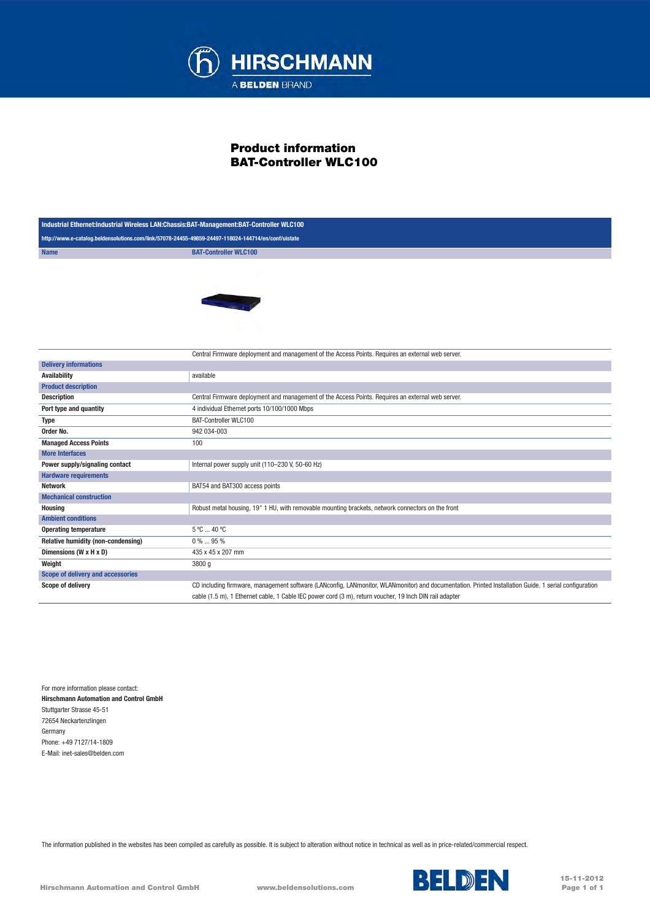

## Product information BAT-Controller WLC100

| Industrial Ethernet:Industrial Wireless LAN:Chassis:BAT-Management:BAT-Controller WLC100            |                                                                                                                                                       |
|-----------------------------------------------------------------------------------------------------|-------------------------------------------------------------------------------------------------------------------------------------------------------|
| http://www.e-catalog.beldensolutions.com/link/57078-24455-49859-24497-118024-144714/en/conf/uistate |                                                                                                                                                       |
| <b>Name</b>                                                                                         | <b>BAT-Controller WLC100</b>                                                                                                                          |
|                                                                                                     | <b>Contract Contract</b>                                                                                                                              |
|                                                                                                     | Central Firmware deployment and management of the Access Points. Requires an external web server.                                                     |
| <b>Delivery informations</b><br><b>Availability</b>                                                 | available                                                                                                                                             |
| <b>Product description</b>                                                                          |                                                                                                                                                       |
| <b>Description</b>                                                                                  | Central Firmware deployment and management of the Access Points. Requires an external web server.                                                     |
| Port type and quantity                                                                              | 4 individual Ethernet ports 10/100/1000 Mbps                                                                                                          |
| <b>Type</b>                                                                                         | <b>BAT-Controller WLC100</b>                                                                                                                          |
| Order No.                                                                                           | 942 034-003                                                                                                                                           |
| <b>Managed Access Points</b>                                                                        | 100                                                                                                                                                   |
| <b>More Interfaces</b>                                                                              |                                                                                                                                                       |
| Power supply/signaling contact                                                                      | Internal power supply unit (110-230 V, 50-60 Hz)                                                                                                      |
| <b>Hardware requirements</b>                                                                        |                                                                                                                                                       |
| <b>Network</b>                                                                                      | BAT54 and BAT300 access points                                                                                                                        |
| <b>Mechanical construction</b>                                                                      |                                                                                                                                                       |
| <b>Housing</b>                                                                                      | Robust metal housing, 19" 1 HU, with removable mounting brackets, network connectors on the front                                                     |
| <b>Ambient conditions</b>                                                                           |                                                                                                                                                       |
| <b>Operating temperature</b>                                                                        | 5 °C  40 °C                                                                                                                                           |
| Relative humidity (non-condensing)                                                                  | 0%  95%                                                                                                                                               |
| Dimensions (W x H x D)                                                                              | 435 x 45 x 207 mm                                                                                                                                     |
| Weight                                                                                              | 3800 g                                                                                                                                                |
| Scope of delivery and accessories                                                                   |                                                                                                                                                       |
| Scope of delivery                                                                                   | CD including firmware, management software (LANconfig, LANmonitor, WLANmonitor) and documentation. Printed Installation Guide. 1 serial configuration |
|                                                                                                     | cable (1.5 m), 1 Ethernet cable, 1 Cable IEC power cord (3 m), return voucher, 19 lnch DIN rail adapter                                               |

For more information please contact: Hirschmann Automation and Control GmbH Stuttgarter Strasse 45-51 72654 Neckartenzlingen Germany Phone: +49 7127/14-1809 E-Mail: inet-sales@belden.com

The information published in the websites has been compiled as carefully as possible. It is subject to alteration without notice in technical as well as in price-related/commercial respect.